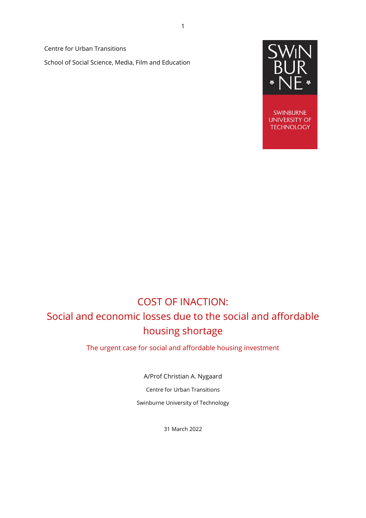Centre for Urban Transitions

School of Social Science, Media, Film and Education



**SWINBURNE UNIVERSITY OF TECHNOLOGY** 

# COST OF INACTION: Social and economic losses due to the social and affordable housing shortage

The urgent case for social and affordable housing investment

A/Prof Christian A. Nygaard Centre for Urban Transitions Swinburne University of Technology

31 March 2022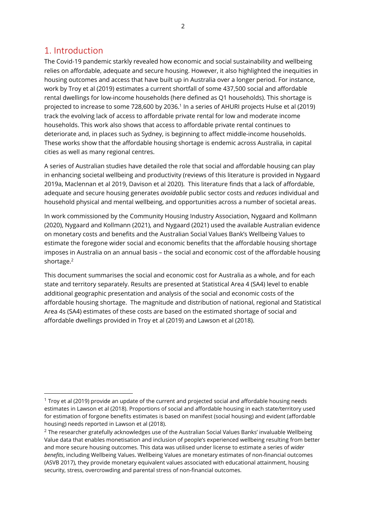### 1. Introduction

 $\overline{a}$ 

The Covid-19 pandemic starkly revealed how economic and social sustainability and wellbeing relies on affordable, adequate and secure housing. However, it also highlighted the inequities in housing outcomes and access that have built up in Australia over a longer period. For instance, work by Troy et al (2019) estimates a current shortfall of some 437,500 social and affordable rental dwellings for low-income households (here defined as Q1 households). This shortage is projected to increase to some 728,600 by 2036.<sup>1</sup> In a series of AHURI projects Hulse et al (2019) track the evolving lack of access to affordable private rental for low and moderate income households. This work also shows that access to affordable private rental continues to deteriorate and, in places such as Sydney, is beginning to affect middle-income households. These works show that the affordable housing shortage is endemic across Australia, in capital cities as well as many regional centres.

A series of Australian studies have detailed the role that social and affordable housing can play in enhancing societal wellbeing and productivity (reviews of this literature is provided in Nygaard 2019a, Maclennan et al 2019, Davison et al 2020). This literature finds that a lack of affordable, adequate and secure housing generates *avoidable* public sector costs and *reduces* individual and household physical and mental wellbeing, and opportunities across a number of societal areas.

In work commissioned by the Community Housing Industry Association, Nygaard and Kollmann (2020), Nygaard and Kollmann (2021), and Nygaard (2021) used the available Australian evidence on monetary costs and benefits and the Australian Social Values Bank's Wellbeing Values to estimate the foregone wider social and economic benefits that the affordable housing shortage imposes in Australia on an annual basis – the social and economic cost of the affordable housing shortage.<sup>2</sup>

This document summarises the social and economic cost for Australia as a whole, and for each state and territory separately. Results are presented at Statistical Area 4 (SA4) level to enable additional geographic presentation and analysis of the social and economic costs of the affordable housing shortage. The magnitude and distribution of national, regional and Statistical Area 4s (SA4) estimates of these costs are based on the estimated shortage of social and affordable dwellings provided in Troy et al (2019) and Lawson et al (2018).

 $1$  Troy et al (2019) provide an update of the current and projected social and affordable housing needs estimates in Lawson et al (2018). Proportions of social and affordable housing in each state/territory used for estimation of forgone benefits estimates is based on manifest (social housing) and evident (affordable housing) needs reported in Lawson et al (2018).

 $2$  The researcher gratefully acknowledges use of the Australian Social Values Banks' invaluable Wellbeing Value data that enables monetisation and inclusion of people's experienced wellbeing resulting from better and more secure housing outcomes. This data was utilised under license to estimate a series of *wider benefits*, including Wellbeing Values. Wellbeing Values are monetary estimates of non-financial outcomes (ASVB 2017), they provide monetary equivalent values associated with educational attainment, housing security, stress, overcrowding and parental stress of non-financial outcomes.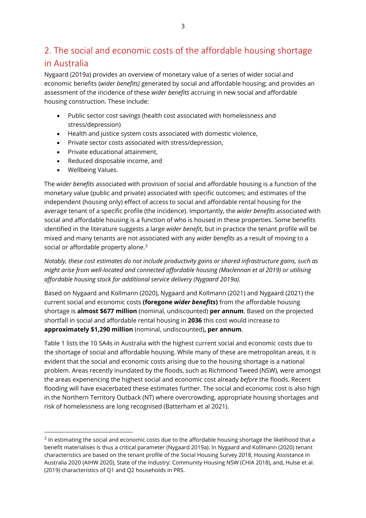# 2. The social and economic costs of the affordable housing shortage in Australia

Nygaard (2019a) provides an overview of monetary value of a series of wider social and economic benefits (*wider benefits)* generated by social and affordable housing; and provides an assessment of the incidence of these *wider benefits* accruing in new social and affordable housing construction. These include:

- Public sector cost savings (health cost associated with homelessness and stress/depression)
- Health and justice system costs associated with domestic violence,
- Private sector costs associated with stress/depression,
- Private educational attainment,
- Reduced disposable income, and
- Wellbeing Values.

-

The *wider benefits* associated with provision of social and affordable housing is a function of the monetary value (public and private) associated with specific outcomes; and estimates of the independent (housing only) effect of access to social and affordable rental housing for the average tenant of a specific profile (the incidence). Importantly, the *wider benefits* associated with social and affordable housing is a function of who is housed in these properties. Some benefits identified in the literature suggests a large *wider benefit*, but in practice the tenant profile will be mixed and many tenants are not associated with any *wider benefits* as a result of moving to a social or affordable property alone.<sup>3</sup>

*Notably, these cost estimates do not include productivity gains or shared infrastructure gains, such as might arise from well-located and connected affordable housing (Maclennan et al 2019) or utilising affordable housing stock for additional service delivery (Nygaard 2019a).*

Based on Nygaard and Kollmann (2020), Nygaard and Kollmann (2021) and Nygaard (2021) the current social and economic costs **(foregone** *wider benefits***)** from the affordable housing shortage is **almost \$677 million** (nominal, undiscounted) **per annum**. Based on the projected shortfall in social and affordable rental housing in **2036** this cost would increase to **approximately \$1,290 million** (nominal, undiscounted)**, per annum**.

Table 1 lists the 10 SA4s in Australia with the highest current social and economic costs due to the shortage of social and affordable housing. While many of these are metropolitan areas, it is evident that the social and economic costs arising due to the housing shortage is a national problem. Areas recently inundated by the floods, such as Richmond Tweed (NSW), were amongst the areas experiencing the highest social and economic cost already *before* the floods. Recent flooding will have exacerbated these estimates further. The social and economic cost is also high in the Northern Territory Outback (NT) where overcrowding, appropriate housing shortages and risk of homelessness are long recognised (Batterham et al 2021).

 $3$  In estimating the social and economic costs due to the affordable housing shortage the likelihood that a benefit materialises is thus a critical parameter (Nygaard 2019a). In Nygaard and Kollmann (2020) tenant characteristics are based on the tenant profile of the Social Housing Survey 2018, Housing Assistance in Australia 2020 (AIHW 2020), State of the Industry: Community Housing NSW (CHIA 2018), and, Hulse et al. (2019) characteristics of Q1 and Q2 households in PRS.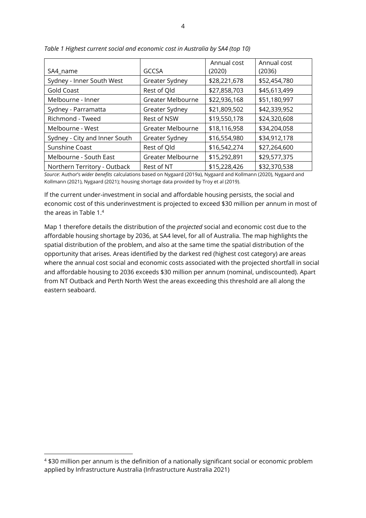|                   | Annual cost  | Annual cost  |
|-------------------|--------------|--------------|
| <b>GCCSA</b>      | (2020)       | (2036)       |
| Greater Sydney    | \$28,221,678 | \$52,454,780 |
| Rest of Qld       | \$27,858,703 | \$45,613,499 |
| Greater Melbourne | \$22,936,168 | \$51,180,997 |
| Greater Sydney    | \$21,809,502 | \$42,339,952 |
| Rest of NSW       | \$19,550,178 | \$24,320,608 |
| Greater Melbourne | \$18,116,958 | \$34,204,058 |
| Greater Sydney    | \$16,554,980 | \$34,912,178 |
| Rest of Old       | \$16,542,274 | \$27,264,600 |
| Greater Melbourne | \$15,292,891 | \$29,577,375 |
| Rest of NT        | \$15,228,426 | \$32,370,538 |
|                   |              |              |

*Table 1 Highest current social and economic cost in Australia by SA4 (top 10)*

*Source*: Author's *wider benefits* calculations based on Nygaard (2019a), Nygaard and Kollmann (2020), Nygaard and Kollmann (2021), Nygaard (2021); housing shortage data provided by Troy et al (2019).

If the current under-investment in social and affordable housing persists, the social and economic cost of this underinvestment is projected to exceed \$30 million per annum in most of the areas in Table 1.<sup>4</sup>

Map 1 therefore details the distribution of the *projected* social and economic cost due to the affordable housing shortage by 2036, at SA4 level, for all of Australia. The map highlights the spatial distribution of the problem, and also at the same time the spatial distribution of the opportunity that arises. Areas identified by the darkest red (highest cost category) are areas where the annual cost social and economic costs associated with the projected shortfall in social and affordable housing to 2036 exceeds \$30 million per annum (nominal, undiscounted). Apart from NT Outback and Perth North West the areas exceeding this threshold are all along the eastern seaboard.

 $\overline{a}$ 

<sup>4</sup> \$30 million per annum is the definition of a nationally significant social or economic problem applied by Infrastructure Australia (Infrastructure Australia 2021)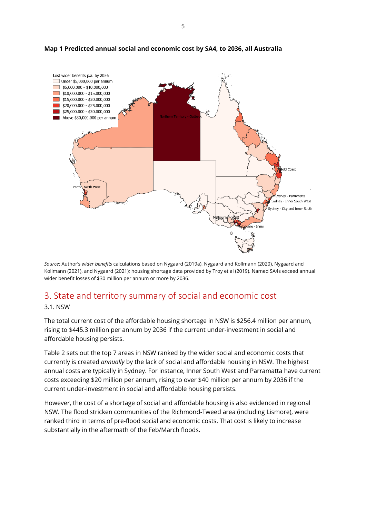

#### **Map 1 Predicted annual social and economic cost by SA4, to 2036, all Australia**

*Source*: Author's *wider benefits* calculations based on Nygaard (2019a), Nygaard and Kollmann (2020), Nygaard and Kollmann (2021), and Nygaard (2021); housing shortage data provided by Troy et al (2019). Named SA4s exceed annual wider benefit losses of \$30 million per annum or more by 2036.

# 3. State and territory summary of social and economic cost

3.1. NSW

The total current cost of the affordable housing shortage in NSW is \$256.4 million per annum, rising to \$445.3 million per annum by 2036 if the current under-investment in social and affordable housing persists.

Table 2 sets out the top 7 areas in NSW ranked by the wider social and economic costs that currently is created *annually* by the lack of social and affordable housing in NSW. The highest annual costs are typically in Sydney. For instance, Inner South West and Parramatta have current costs exceeding \$20 million per annum, rising to over \$40 million per annum by 2036 if the current under-investment in social and affordable housing persists.

However, the cost of a shortage of social and affordable housing is also evidenced in regional NSW. The flood stricken communities of the Richmond-Tweed area (including Lismore), were ranked third in terms of pre-flood social and economic costs. That cost is likely to increase substantially in the aftermath of the Feb/March floods.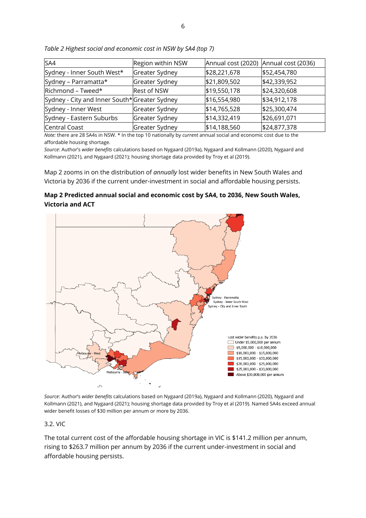| SA4                                          | Region within NSW  | Annual cost (2020) Annual cost (2036) |              |
|----------------------------------------------|--------------------|---------------------------------------|--------------|
| Sydney - Inner South West*                   | Greater Sydney     | \$28,221,678                          | \$52,454,780 |
| Sydney - Parramatta*                         | Greater Sydney     | \$21,809,502                          | \$42,339,952 |
| Richmond - Tweed*                            | <b>Rest of NSW</b> | \$19,550,178                          | \$24,320,608 |
| Sydney - City and Inner South*Greater Sydney |                    | \$16,554,980                          | \$34,912,178 |
| Sydney - Inner West                          | Greater Sydney     | \$14,765,528                          | \$25,300,474 |
| Sydney - Eastern Suburbs                     | Greater Sydney     | \$14,332,419                          | \$26,691,071 |
| <b>Central Coast</b>                         | Greater Sydney     | \$14,188,560                          | \$24,877,378 |

*Table 2 Highest social and economic cost in NSW by SA4 (top 7)*

*Note:* there are 28 SA4s in NSW. \* In the top 10 nationally by *current* annual social and economic cost due to the affordable housing shortage.

*Source*: Author's *wider benefits* calculations based on Nygaard (2019a), Nygaard and Kollmann (2020), Nygaard and Kollmann (2021), and Nygaard (2021); housing shortage data provided by Troy et al (2019).

Map 2 zooms in on the distribution of *annually* lost wider benefits in New South Wales and Victoria by 2036 if the current under-investment in social and affordable housing persists.





*Source*: Author's *wider benefits* calculations based on Nygaard (2019a), Nygaard and Kollmann (2020), Nygaard and Kollmann (2021), and Nygaard (2021); housing shortage data provided by Troy et al (2019). Named SA4s exceed annual wider benefit losses of \$30 million per annum or more by 2036.

#### 3.2. VIC

The total current cost of the affordable housing shortage in VIC is \$141.2 million per annum, rising to \$263.7 million per annum by 2036 if the current under-investment in social and affordable housing persists.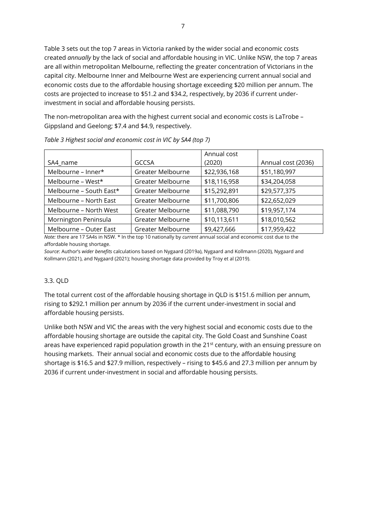Table 3 sets out the top 7 areas in Victoria ranked by the wider social and economic costs created *annually* by the lack of social and affordable housing in VIC. Unlike NSW, the top 7 areas are all within metropolitan Melbourne, reflecting the greater concentration of Victorians in the capital city. Melbourne Inner and Melbourne West are experiencing current annual social and economic costs due to the affordable housing shortage exceeding \$20 million per annum. The costs are projected to increase to \$51.2 and \$34.2, respectively, by 2036 if current underinvestment in social and affordable housing persists.

The non-metropolitan area with the highest current social and economic costs is LaTrobe – Gippsland and Geelong; \$7.4 and \$4.9, respectively.

|                         |                   | Annual cost  |                    |
|-------------------------|-------------------|--------------|--------------------|
| SA4_name                | <b>GCCSA</b>      | (2020)       | Annual cost (2036) |
| Melbourne - Inner*      | Greater Melbourne | \$22,936,168 | \$51,180,997       |
| Melbourne - West*       | Greater Melbourne | \$18,116,958 | \$34,204,058       |
| Melbourne - South East* | Greater Melbourne | \$15,292,891 | \$29,577,375       |
| Melbourne - North East  | Greater Melbourne | \$11,700,806 | \$22,652,029       |
| Melbourne - North West  | Greater Melbourne | \$11,088,790 | \$19,957,174       |
| Mornington Peninsula    | Greater Melbourne | \$10,113,611 | \$18,010,562       |
| Melbourne - Outer East  | Greater Melbourne | \$9,427,666  | \$17,959,422       |

*Table 3 Highest social and economic cost in VIC by SA4 (top 7)*

*Note:* there are 17 SA4s in NSW. \* In the top 10 nationally by *current* annual social and economic cost due to the affordable housing shortage.

*Source*: Author's *wider benefits* calculations based on Nygaard (2019a), Nygaard and Kollmann (2020), Nygaard and Kollmann (2021), and Nygaard (2021); housing shortage data provided by Troy et al (2019).

#### 3.3. QLD

The total current cost of the affordable housing shortage in QLD is \$151.6 million per annum, rising to \$292.1 million per annum by 2036 if the current under-investment in social and affordable housing persists.

Unlike both NSW and VIC the areas with the very highest social and economic costs due to the affordable housing shortage are outside the capital city. The Gold Coast and Sunshine Coast areas have experienced rapid population growth in the 21<sup>st</sup> century, with an ensuing pressure on housing markets. Their annual social and economic costs due to the affordable housing shortage is \$16.5 and \$27.9 million, respectively – rising to \$45.6 and 27.3 million per annum by 2036 if current under-investment in social and affordable housing persists.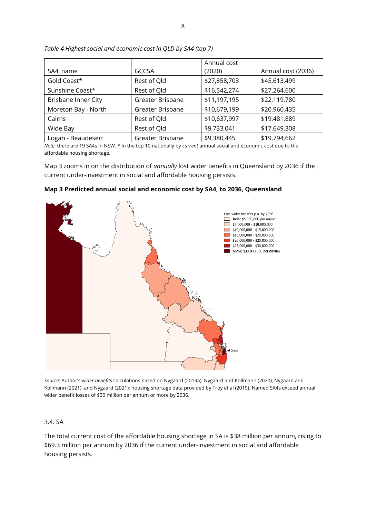|                     |                  | Annual cost  |                    |
|---------------------|------------------|--------------|--------------------|
| SA4_name            | <b>GCCSA</b>     | (2020)       | Annual cost (2036) |
| Gold Coast*         | Rest of Qld      | \$27,858,703 | \$45,613,499       |
| Sunshine Coast*     | Rest of Old      | \$16,542,274 | \$27,264,600       |
| Brisbane Inner City | Greater Brisbane | \$11,197,195 | \$22,119,780       |
| Moreton Bay - North | Greater Brisbane | \$10,679,199 | \$20,960,435       |
| Cairns              | Rest of Old      | \$10,637,997 | \$19,481,889       |
| Wide Bay            | Rest of Old      | \$9,733,041  | \$17,649,308       |
| Logan - Beaudesert  | Greater Brisbane | \$9,380,445  | \$19,794,662       |

*Table 4 Highest social and economic cost in QLD by SA4 (top 7)*

*Note:* there are 19 SA4s in NSW. \* In the top 10 nationally by *current* annual social and economic cost due to the affordable housing shortage.

Map 3 zooms in on the distribution of *annually* lost wider benefits in Queensland by 2036 if the current under-investment in social and affordable housing persists.



**Map 3 Predicted annual social and economic cost by SA4, to 2036, Queensland** 

*Source*: Author's *wider benefits* calculations based on Nygaard (2019a), Nygaard and Kollmann (2020), Nygaard and Kollmann (2021), and Nygaard (2021); housing shortage data provided by Troy et al (2019). Named SA4s exceed annual wider benefit losses of \$30 million per annum or more by 2036.

#### 3.4. SA

The total current cost of the affordable housing shortage in SA is \$38 million per annum, rising to \$69.3 million per annum by 2036 if the current under-investment in social and affordable housing persists.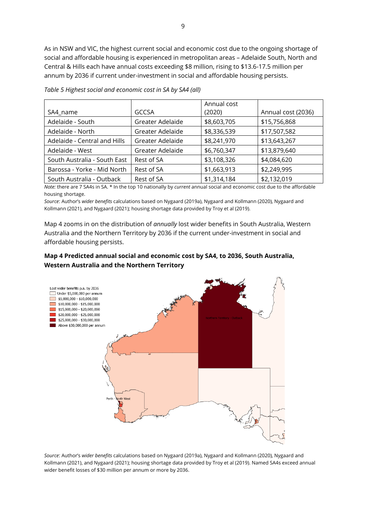As in NSW and VIC, the highest current social and economic cost due to the ongoing shortage of social and affordable housing is experienced in metropolitan areas – Adelaide South, North and Central & Hills each have annual costs exceeding \$8 million, rising to \$13.6-17.5 million per annum by 2036 if current under-investment in social and affordable housing persists.

|                              |                  | Annual cost |                    |
|------------------------------|------------------|-------------|--------------------|
| SA4 name                     | <b>GCCSA</b>     | (2020)      | Annual cost (2036) |
| Adelaide - South             | Greater Adelaide | \$8,603,705 | \$15,756,868       |
| Adelaide - North             | Greater Adelaide | \$8,336,539 | \$17,507,582       |
| Adelaide - Central and Hills | Greater Adelaide | \$8,241,970 | \$13,643,267       |
| Adelaide - West              | Greater Adelaide | \$6,760,347 | \$13,879,640       |
| South Australia - South East | Rest of SA       | \$3,108,326 | \$4,084,620        |
| Barossa - Yorke - Mid North  | Rest of SA       | \$1,663,913 | \$2,249,995        |
| South Australia - Outback    | Rest of SA       | \$1,314,184 | \$2,132,019        |

*Table 5 Highest social and economic cost in SA by SA4 (all)*

*Note:* there are 7 SA4s in SA. \* In the top 10 nationally by *current* annual social and economic cost due to the affordable housing shortage.

*Source*: Author's *wider benefits* calculations based on Nygaard (2019a), Nygaard and Kollmann (2020), Nygaard and Kollmann (2021), and Nygaard (2021); housing shortage data provided by Troy et al (2019).

Map 4 zooms in on the distribution of *annually* lost wider benefits in South Australia, Western Australia and the Northern Territory by 2036 if the current under-investment in social and affordable housing persists.

#### **Map 4 Predicted annual social and economic cost by SA4, to 2036, South Australia, Western Australia and the Northern Territory**



*Source*: Author's *wider benefits* calculations based on Nygaard (2019a), Nygaard and Kollmann (2020), Nygaard and Kollmann (2021), and Nygaard (2021); housing shortage data provided by Troy et al (2019). Named SA4s exceed annual wider benefit losses of \$30 million per annum or more by 2036.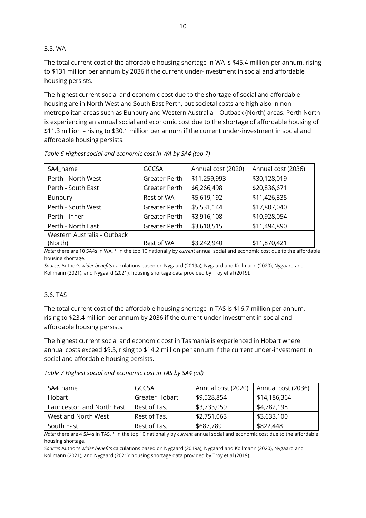#### 3.5. WA

The total current cost of the affordable housing shortage in WA is \$45.4 million per annum, rising to \$131 million per annum by 2036 if the current under-investment in social and affordable housing persists.

The highest current social and economic cost due to the shortage of social and affordable housing are in North West and South East Perth, but societal costs are high also in nonmetropolitan areas such as Bunbury and Western Australia – Outback (North) areas. Perth North is experiencing an annual social and economic cost due to the shortage of affordable housing of \$11.3 million – rising to \$30.1 million per annum if the current under-investment in social and affordable housing persists.

| SA4 name                    | <b>GCCSA</b>  | Annual cost (2020) | Annual cost (2036) |
|-----------------------------|---------------|--------------------|--------------------|
| Perth - North West          | Greater Perth | \$11,259,993       | \$30,128,019       |
| Perth - South East          | Greater Perth | \$6,266,498        | \$20,836,671       |
| Bunbury                     | Rest of WA    | \$5,619,192        | \$11,426,335       |
| Perth - South West          | Greater Perth | \$5,531,144        | \$17,807,040       |
| Perth - Inner               | Greater Perth | \$3,916,108        | \$10,928,054       |
| Perth - North East          | Greater Perth | \$3,618,515        | \$11,494,890       |
| Western Australia - Outback |               |                    |                    |
| (North)                     | Rest of WA    | \$3,242,940        | \$11,870,421       |

*Table 6 Highest social and economic cost in WA by SA4 (top 7)*

*Note:* there are 10 SA4s in WA. \* In the top 10 nationally by *current* annual social and economic cost due to the affordable housing shortage.

*Source*: Author's *wider benefits* calculations based on Nygaard (2019a), Nygaard and Kollmann (2020), Nygaard and Kollmann (2021), and Nygaard (2021); housing shortage data provided by Troy et al (2019).

#### 3.6. TAS

The total current cost of the affordable housing shortage in TAS is \$16.7 million per annum, rising to \$23.4 million per annum by 2036 if the current under-investment in social and affordable housing persists.

The highest current social and economic cost in Tasmania is experienced in Hobart where annual costs exceed \$9.5, rising to \$14.2 million per annum if the current under-investment in social and affordable housing persists.

*Table 7 Highest social and economic cost in TAS by SA4 (all)*

| SA4_name                  | GCCSA          | Annual cost (2020) | Annual cost (2036) |
|---------------------------|----------------|--------------------|--------------------|
| Hobart                    | Greater Hobart | \$9,528,854        | \$14,186,364       |
| Launceston and North East | Rest of Tas.   | \$3,733,059        | \$4,782,198        |
| West and North West       | Rest of Tas.   | \$2,751,063        | \$3,633,100        |
| South East                | Rest of Tas.   | \$687,789          | \$822,448          |

*Note:* there are 4 SA4s in TAS. \* In the top 10 nationally by *current* annual social and economic cost due to the affordable housing shortage.

*Source*: Author's *wider benefits* calculations based on Nygaard (2019a), Nygaard and Kollmann (2020), Nygaard and Kollmann (2021), and Nygaard (2021); housing shortage data provided by Troy et al (2019).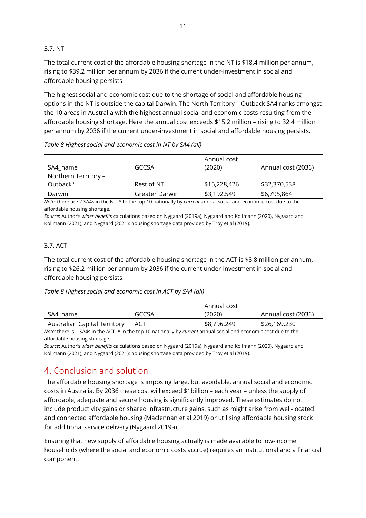#### 3.7. NT

The total current cost of the affordable housing shortage in the NT is \$18.4 million per annum, rising to \$39.2 million per annum by 2036 if the current under-investment in social and affordable housing persists.

The highest social and economic cost due to the shortage of social and affordable housing options in the NT is outside the capital Darwin. The North Territory – Outback SA4 ranks amongst the 10 areas in Australia with the highest annual social and economic costs resulting from the affordable housing shortage. Here the annual cost exceeds \$15.2 million – rising to 32.4 million per annum by 2036 if the current under-investment in social and affordable housing persists.

*Table 8 Highest social and economic cost in NT by SA4 (all)*

|                      |                | Annual cost  |                    |
|----------------------|----------------|--------------|--------------------|
| SA4 name             | GCCSA          | (2020)       | Annual cost (2036) |
| Northern Territory - |                |              |                    |
| Outback*             | Rest of NT     | \$15,228,426 | \$32,370,538       |
| Darwin               | Greater Darwin | \$3,192,549  | \$6,795,864        |

*Note:* there are 2 SA4s in the NT. \* In the top 10 nationally by *current* annual social and economic cost due to the affordable housing shortage.

*Source*: Author's *wider benefits* calculations based on Nygaard (2019a), Nygaard and Kollmann (2020), Nygaard and Kollmann (2021), and Nygaard (2021); housing shortage data provided by Troy et al (2019).

#### 3.7. ACT

The total current cost of the affordable housing shortage in the ACT is \$8.8 million per annum, rising to \$26.2 million per annum by 2036 if the current under-investment in social and affordable housing persists.

| Table 8 Highest social and economic cost in ACT by SA4 (all) |  |
|--------------------------------------------------------------|--|
|--------------------------------------------------------------|--|

|                              |              | Annual cost |                    |
|------------------------------|--------------|-------------|--------------------|
| SA4 name                     | <b>GCCSA</b> | (2020)      | Annual cost (2036) |
| Australian Capital Territory | ACT          | \$8,796,249 | \$26,169,230       |

*Note:* there is 1 SA4s in the ACT. \* In the top 10 nationally by *current* annual social and economic cost due to the affordable housing shortage.

*Source*: Author's *wider benefits* calculations based on Nygaard (2019a), Nygaard and Kollmann (2020), Nygaard and Kollmann (2021), and Nygaard (2021); housing shortage data provided by Troy et al (2019).

## 4. Conclusion and solution

The affordable housing shortage is imposing large, but avoidable, annual social and economic costs in Australia. By 2036 these cost will exceed \$1billion – each year – unless the supply of affordable, adequate and secure housing is significantly improved. These estimates do not include productivity gains or shared infrastructure gains, such as might arise from well-located and connected affordable housing (Maclennan et al 2019) or utilising affordable housing stock for additional service delivery (Nygaard 2019a).

Ensuring that new supply of affordable housing actually is made available to low-income households (where the social and economic costs accrue) requires an institutional and a financial component.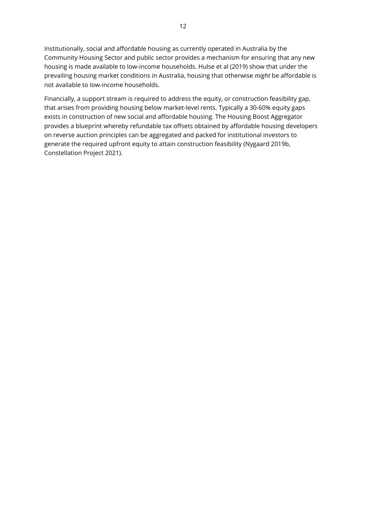Institutionally, social and affordable housing as currently operated in Australia by the Community Housing Sector and public sector provides a mechanism for ensuring that any new housing is made available to low-income households. Hulse et al (2019) show that under the prevailing housing market conditions in Australia, housing that otherwise *might* be affordable is not available to low-income households.

Financially, a support stream is required to address the equity, or construction feasibility gap, that arises from providing housing below market-level rents. Typically a 30-60% equity gaps exists in construction of new social and affordable housing. The Housing Boost Aggregator provides a blueprint whereby refundable tax offsets obtained by affordable housing developers on reverse auction principles can be aggregated and packed for institutional investors to generate the required upfront equity to attain construction feasibility (Nygaard 2019b, Constellation Project 2021).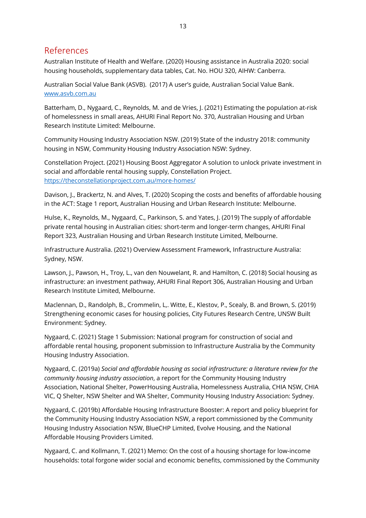### References

Australian Institute of Health and Welfare. (2020) Housing assistance in Australia 2020: social housing households, supplementary data tables, Cat. No. HOU 320, AIHW: Canberra.

Australian Social Value Bank (ASVB). (2017) A user's guide, Australian Social Value Bank. [www.asvb.com.au](http://www.asvb.com.au/)

Batterham, D., Nygaard, C., Reynolds, M. and de Vries, J. (2021) Estimating the population at-risk of homelessness in small areas, AHURI Final Report No. 370, Australian Housing and Urban Research Institute Limited: Melbourne.

Community Housing Industry Association NSW. (2019) State of the industry 2018: community housing in NSW, Community Housing Industry Association NSW: Sydney.

Constellation Project. (2021) Housing Boost Aggregator A solution to unlock private investment in social and affordable rental housing supply, Constellation Project. <https://theconstellationproject.com.au/more-homes/>

Davison, J., Brackertz, N. and Alves, T. (2020) Scoping the costs and benefits of affordable housing in the ACT: Stage 1 report, Australian Housing and Urban Research Institute: Melbourne.

Hulse, K., Reynolds, M., Nygaard, C., Parkinson, S. and Yates, J. (2019) The supply of affordable private rental housing in Australian cities: short-term and longer-term changes, AHURI Final Report 323, Australian Housing and Urban Research Institute Limited, Melbourne.

Infrastructure Australia. (2021) Overview Assessment Framework, Infrastructure Australia: Sydney, NSW.

Lawson, J., Pawson, H., Troy, L., van den Nouwelant, R. and Hamilton, C. (2018) Social housing as infrastructure: an investment pathway, AHURI Final Report 306, Australian Housing and Urban Research Institute Limited, Melbourne.

Maclennan, D., Randolph, B., Crommelin, L,. Witte, E., Klestov, P., Scealy, B. and Brown, S. (2019) Strengthening economic cases for housing policies, City Futures Research Centre, UNSW Built Environment: Sydney.

Nygaard, C. (2021) Stage 1 Submission: National program for construction of social and affordable rental housing, proponent submission to Infrastructure Australia by the Community Housing Industry Association.

Nygaard, C. (2019a) *Social and affordable housing as social infrastructure: a literature review for the community housing industry association*, a report for the Community Housing Industry Association, National Shelter, PowerHousing Australia, Homelessness Australia, CHIA NSW, CHIA VIC, Q Shelter, NSW Shelter and WA Shelter, Community Housing Industry Association: Sydney.

Nygaard, C. (2019b) Affordable Housing Infrastructure Booster: A report and policy blueprint for the Community Housing Industry Association NSW, a report commissioned by the Community Housing Industry Association NSW, BlueCHP Limited, Evolve Housing, and the National Affordable Housing Providers Limited.

Nygaard, C. and Kollmann, T. (2021) Memo: On the cost of a housing shortage for low-income households: total forgone wider social and economic benefits, commissioned by the Community